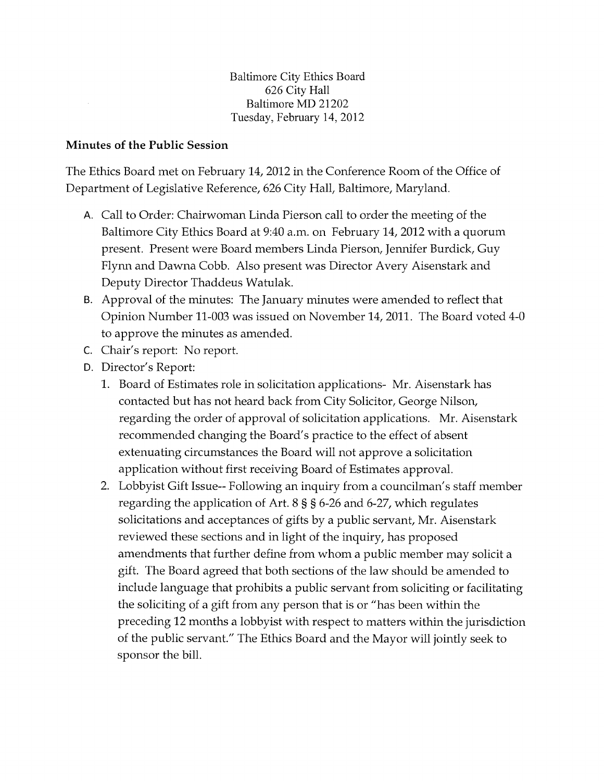Baltimore City Ethics Board 626 City Hall Baltimore MD 21202 Tuesday, February 14, 2012

## Minutes of the Public Session

The Ethics Board met on February 14, 2012 in the Conference Room of the Office of Department of Legislative Reference, 626 City Hall, Baltimore, Maryland.

- A. Call to Order: Chairwoman Linda Pierson call to order the meeting of the Baltimore City Ethics Board at 9:40 a.m. on February 14, 2012 with a quorum present. Present were Board members Linda Pierson, Jennifer Burdick, Guy Flynn and Dawna Cobb. Also present was Director Avery Aisenstark and Deputy Director Thaddeus Watulak.
- B. Approval of the minutes: The January minutes were amended to reflect that Opinion Number 11-003 was issued on November 14,2011. The Board voted 4-0 to approve the minutes as amended.
- C. Chair's report: No report.
- D. Director's Report:
	- 1. Board of Estimates role in solicitation applications- Mr. Aisenstark has contacted but has not heard back from City Solicitor, George Nilson, regarding the order of approval of solicitation applications. Mr. Aisenstark recommended changing the Board's practice to the effect of absent extenuating circumstances the Board will not approve a solicitation application without first receiving Board of Estimates approval.
	- 2. Lobbyist Gift Issue-- Following an inquiry from a councilman's staff member regarding the application of Art. 8 § § 6-26 and 6-27, which regulates solicitations and acceptances of gifts by a public servant, Mr. Aisenstark reviewed these sections and in light of the inquiry, has proposed amendments that further define from whom a public member may solicit a gift. The Board agreed that both sections of the law should be amended to include language that prohibits a public servant from soliciting or facilitating the soliciting of a gift from any person that is or "has been within the preceding 12 months a lobbyist with respect to matters within the jurisdiction of the public servant." The Ethics Board and the Mayor will jointly seek to sponsor the bill.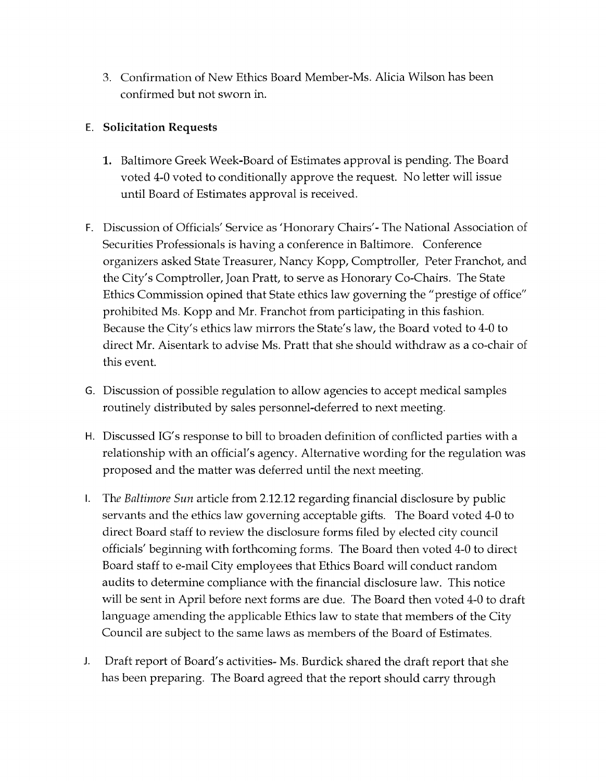3. Confirmation of New Ethics Board Member-Ms. Alicia Wilson has been confirmed but not sworn in.

## E. **Solicitation Requests**

- **1.** Baltimore Greek Week-Board of Estimates approval is pending. The Board voted 4-0 voted to conditionally approve the request. No letter will issue until Board of Estimates approval is received.
- F. Discussion of Officials' Service as 'Honorary Chairs'- The National Association of Securities Professionals is having a conference in Baltimore. Conference organizers asked State Treasurer, Nancy Kopp, Comptroller, Peter Franchot, and the City's Comptroller, Joan Pratt, to serve as Honorary Co-Chairs. The State Ethics Commission opined that State ethics law governing the "prestige of office" prohibited Ms. Kopp and Mr. Franchot from participating in this fashion. Because the City's ethics law mirrors the State's law, the Board voted to 4-0 to direct Mr. Aisentark to advise Ms. Pratt that she should withdraw as a co-chair of this event.
- G. Discussion of possible regulation to allow agencies to accept medical samples routinely distributed by sales personnel-deferred to next meeting.
- H. Discussed IG's response to bill to broaden definition of conflicted parties with a relationship with an official's agency. Alternative wording for the regulation was proposed and the matter was deferred until the next meeting.
- I. The *Baltimore Sun* article from 2.12.12 regarding financial disclosure by public servants and the ethics law governing acceptable gifts. The Board voted 4-0 to direct Board staff to review the disclosure forms filed by elected city council officials' beginning with forthcoming forms. The Board then voted 4-0 to direct Board staff to e-mail City employees that Ethics Board will conduct random audits to determine compliance with the financial disclosure law. This notice will be sent in April before next forms are due. The Board then voted 4-0 to draft language amending the applicable Ethics law to state that members of the City Council are subject to the same laws as members of the Board of Estimates.
- **J.** Draft report of Board's activities- Ms. Burdick shared the draft report that she has been preparing. The Board agreed that the report should carry through